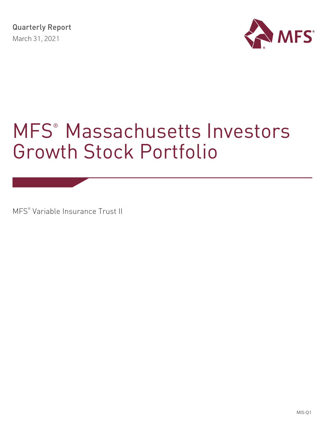

# MFS® Massachusetts Investors Growth Stock Portfolio

MFS® Variable Insurance Trust II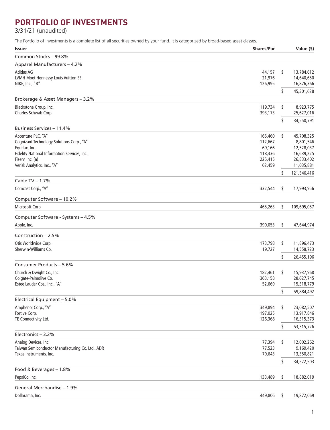## **PORTFOLIO OF INVESTMENTS**

3/31/21 (unaudited)

The Portfolio of Investments is a complete list of all securities owned by your fund. It is categorized by broad-based asset classes.

| <b>Issuer</b>                                              | <b>Shares/Par</b>  |    | Value (\$)               |
|------------------------------------------------------------|--------------------|----|--------------------------|
| Common Stocks - 99.8%                                      |                    |    |                          |
| Apparel Manufacturers - 4.2%                               |                    |    |                          |
| Adidas AG                                                  | 44,157             | \$ | 13,784,612               |
| LVMH Moet Hennessy Louis Vuitton SE                        | 21,976             |    | 14,640,650               |
| NIKE, Inc., "B"                                            | 126,995            |    | 16,876,366               |
|                                                            |                    | \$ | 45,301,628               |
| Brokerage & Asset Managers - 3.2%                          |                    |    |                          |
| Blackstone Group, Inc.                                     | 119,734            | \$ | 8,923,775                |
| Charles Schwab Corp.                                       | 393,173            |    | 25,627,016               |
|                                                            |                    | \$ | 34,550,791               |
| Business Services - 11.4%                                  |                    |    |                          |
| Accenture PLC, "A"                                         | 165,460            | \$ | 45,708,325               |
| Cognizant Technology Solutions Corp., "A"<br>Equifax, Inc. | 112,667<br>69,166  |    | 8,801,546<br>12,528,037  |
| Fidelity National Information Services, Inc.               | 118,336            |    | 16,639,225               |
| Fiserv, Inc. (a)                                           | 225,415            |    | 26,833,402               |
| Verisk Analytics, Inc., "A"                                | 62,459             |    | 11,035,881               |
|                                                            |                    | \$ | 121,546,416              |
| Cable TV - 1.7%                                            |                    |    |                          |
| Comcast Corp., "A"                                         | 332,544            | \$ | 17,993,956               |
| Computer Software - 10.2%                                  |                    |    |                          |
| Microsoft Corp.                                            | 465,263            | \$ | 109,695,057              |
| Computer Software - Systems - 4.5%                         |                    |    |                          |
| Apple, Inc.                                                | 390,053            | \$ | 47,644,974               |
|                                                            |                    |    |                          |
| Construction - 2.5%                                        |                    |    |                          |
| Otis Worldwide Corp.                                       | 173,798            | \$ | 11,896,473               |
| Sherwin-Williams Co.                                       | 19,727             |    | 14,558,723               |
|                                                            |                    | \$ | 26,455,196               |
| Consumer Products - 5.6%                                   |                    |    |                          |
| Church & Dwight Co., Inc.                                  | 182,461            | \$ | 15,937,968               |
| Colgate-Palmolive Co.                                      | 363,158            |    | 28,627,745               |
| Estee Lauder Cos., Inc., "A"                               | 52,669             |    | 15,318,779               |
|                                                            |                    | S  | 59,884,492               |
| Electrical Equipment - 5.0%                                |                    |    |                          |
| Amphenol Corp., "A"                                        | 349,894            | \$ | 23,082,507               |
| Fortive Corp.<br>TE Connectivity Ltd.                      | 197,025<br>126,368 |    | 13,917,846<br>16,315,373 |
|                                                            |                    | \$ | 53,315,726               |
| Electronics - 3.2%                                         |                    |    |                          |
| Analog Devices, Inc.                                       | 77,394             | \$ | 12,002,262               |
| Taiwan Semiconductor Manufacturing Co. Ltd., ADR           | 77,523             |    | 9,169,420                |
| Texas Instruments, Inc.                                    | 70,643             |    | 13,350,821               |
|                                                            |                    | \$ | 34,522,503               |
| Food & Beverages - 1.8%                                    |                    |    |                          |
| PepsiCo, Inc.                                              | 133,489            | \$ | 18,882,019               |
| General Merchandise - 1.9%                                 |                    |    |                          |
| Dollarama, Inc.                                            | 449,806            | \$ | 19,872,069               |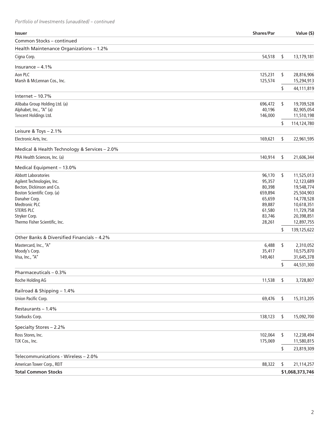*Portfolio of Investments (unaudited) – continued*

| <b>Issuer</b>                                 | <b>Shares/Par</b> | Value (\$)               |
|-----------------------------------------------|-------------------|--------------------------|
| Common Stocks - continued                     |                   |                          |
| Health Maintenance Organizations - 1.2%       |                   |                          |
| Cigna Corp.                                   | 54,518            | \$<br>13,179,181         |
| Insurance $-4.1%$                             |                   |                          |
| Aon PLC                                       | 125,231           | \$<br>28,816,906         |
| Marsh & McLennan Cos., Inc.                   | 125,574           | 15,294,913               |
|                                               |                   | \$<br>44,111,819         |
| Internet $-10.7%$                             |                   |                          |
| Alibaba Group Holding Ltd. (a)                | 696,472           | \$<br>19,709,528         |
| Alphabet, Inc., "A" (a)                       | 40,196            | 82,905,054               |
| Tencent Holdings Ltd.                         | 146,000           | 11,510,198               |
| Leisure & Toys - 2.1%                         |                   | \$<br>114,124,780        |
| Electronic Arts, Inc.                         | 169,621           | \$<br>22,961,595         |
|                                               |                   |                          |
| Medical & Health Technology & Services - 2.0% |                   |                          |
| PRA Health Sciences, Inc. (a)                 | 140,914           | \$<br>21,606,344         |
| Medical Equipment - 13.0%                     |                   |                          |
| <b>Abbott Laboratories</b>                    | 96,170            | \$<br>11,525,013         |
| Agilent Technologies, Inc.                    | 95,357            | 12,123,689               |
| Becton, Dickinson and Co.                     | 80,398            | 19,548,774               |
| Boston Scientific Corp. (a)                   | 659,894           | 25,504,903               |
| Danaher Corp.<br><b>Medtronic PLC</b>         | 65,659            | 14,778,528               |
| <b>STERIS PLC</b>                             | 89,887<br>61,580  | 10,618,351<br>11,729,758 |
| Stryker Corp.                                 | 83,746            | 20,398,851               |
| Thermo Fisher Scientific, Inc.                | 28,261            | 12,897,755               |
|                                               |                   | \$<br>139,125,622        |
| Other Banks & Diversified Financials - 4.2%   |                   |                          |
| Mastercard, Inc., "A"                         | 6,488             | \$<br>2,310,052          |
| Moody's Corp.                                 | 35,417            | 10,575,870               |
| Visa, Inc., "A"                               | 149,461           | 31,645,378               |
|                                               |                   | \$<br>44,531,300         |
| Pharmaceuticals - 0.3%                        |                   |                          |
| Roche Holding AG                              | 11,538            | \$<br>3,728,807          |
| Railroad & Shipping - 1.4%                    |                   |                          |
| Union Pacific Corp.                           | 69,476            | \$<br>15,313,205         |
| Restaurants - 1.4%                            |                   |                          |
| Starbucks Corp.                               | 138,123           | \$<br>15,092,700         |
| Specialty Stores - 2.2%                       |                   |                          |
| Ross Stores, Inc.                             | 102,064           | \$<br>12,238,494         |
| TJX Cos., Inc.                                | 175,069           | 11,580,815               |
|                                               |                   | \$<br>23,819,309         |
| Telecommunications - Wireless - 2.0%          |                   |                          |
| American Tower Corp., REIT                    | 88,322            | \$<br>21,114,257         |
| <b>Total Common Stocks</b>                    |                   | \$1,068,373,746          |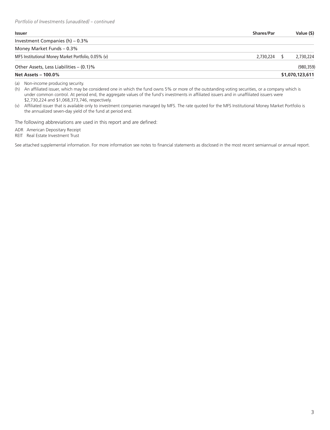## **Issuer Shares/Par Value (\$)** Investment Companies (h) – 0.3% Money Market Funds – 0.3% MFS Institutional Money Market Portfolio, 0.05% (v) 2,730,224 \$ 2,730,224 Other Assets, Less Liabilities – (0.1)% (980,359) **Net Assets – 100.0% \$1,070,123,611**

(a) Non-income producing security.

(h) An affiliated issuer, which may be considered one in which the fund owns 5% or more of the outstanding voting securities, or a company which is under common control. At period end, the aggregate values of the fund's investments in affiliated issuers and in unaffiliated issuers were \$2,730,224 and \$1,068,373,746, respectively.

(v) Affiliated issuer that is available only to investment companies managed by MFS. The rate quoted for the MFS Institutional Money Market Portfolio is the annualized seven-day yield of the fund at period end.

The following abbreviations are used in this report and are defined:

ADR American Depositary Receipt

REIT Real Estate Investment Trust

See attached supplemental information. For more information see notes to financial statements as disclosed in the most recent semiannual or annual report.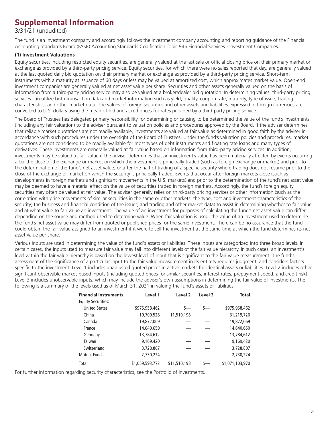## **Supplemental Information**

3/31/21 (unaudited)

The fund is an investment company and accordingly follows the investment company accounting and reporting guidance of the Financial Accounting Standards Board (FASB) Accounting Standards Codification Topic 946 Financial Services - Investment Companies.

### **(1) Investment Valuations**

Equity securities, including restricted equity securities, are generally valued at the last sale or official closing price on their primary market or exchange as provided by a third-party pricing service. Equity securities, for which there were no sales reported that day, are generally valued at the last quoted daily bid quotation on their primary market or exchange as provided by a third-party pricing service. Short-term instruments with a maturity at issuance of 60 days or less may be valued at amortized cost, which approximates market value. Open-end investment companies are generally valued at net asset value per share. Securities and other assets generally valued on the basis of information from a third-party pricing service may also be valued at a broker/dealer bid quotation. In determining values, third-party pricing services can utilize both transaction data and market information such as yield, quality, coupon rate, maturity, type of issue, trading characteristics, and other market data. The values of foreign securities and other assets and liabilities expressed in foreign currencies are converted to U.S. dollars using the mean of bid and asked prices for rates provided by a third-party pricing service.

The Board of Trustees has delegated primary responsibility for determining or causing to be determined the value of the fund's investments (including any fair valuation) to the adviser pursuant to valuation policies and procedures approved by the Board. If the adviser determines that reliable market quotations are not readily available, investments are valued at fair value as determined in good faith by the adviser in accordance with such procedures under the oversight of the Board of Trustees. Under the fund's valuation policies and procedures, market quotations are not considered to be readily available for most types of debt instruments and floating rate loans and many types of derivatives. These investments are generally valued at fair value based on information from third-party pricing services. In addition, investments may be valued at fair value if the adviser determines that an investment's value has been materially affected by events occurring after the close of the exchange or market on which the investment is principally traded (such as foreign exchange or market) and prior to the determination of the fund's net asset value, or after the halt of trading of a specific security where trading does not resume prior to the close of the exchange or market on which the security is principally traded. Events that occur after foreign markets close (such as developments in foreign markets and significant movements in the U.S. markets) and prior to the determination of the fund's net asset value may be deemed to have a material effect on the value of securities traded in foreign markets. Accordingly, the fund's foreign equity securities may often be valued at fair value. The adviser generally relies on third-party pricing services or other information (such as the correlation with price movements of similar securities in the same or other markets; the type, cost and investment characteristics of the security; the business and financial condition of the issuer; and trading and other market data) to assist in determining whether to fair value and at what value to fair value an investment. The value of an investment for purposes of calculating the fund's net asset value can differ depending on the source and method used to determine value. When fair valuation is used, the value of an investment used to determine the fund's net asset value may differ from quoted or published prices for the same investment. There can be no assurance that the fund could obtain the fair value assigned to an investment if it were to sell the investment at the same time at which the fund determines its net asset value per share.

Various inputs are used in determining the value of the fund's assets or liabilities. These inputs are categorized into three broad levels. In certain cases, the inputs used to measure fair value may fall into different levels of the fair value hierarchy. In such cases, an investment's level within the fair value hierarchy is based on the lowest level of input that is significant to the fair value measurement. The fund's assessment of the significance of a particular input to the fair value measurement in its entirety requires judgment, and considers factors specific to the investment. Level 1 includes unadjusted quoted prices in active markets for identical assets or liabilities. Level 2 includes other significant observable market-based inputs (including quoted prices for similar securities, interest rates, prepayment speed, and credit risk). Level 3 includes unobservable inputs, which may include the adviser's own assumptions in determining the fair value of investments. The following is a summary of the levels used as of March 31, 2021 in valuing the fund's assets or liabilities:

| <b>Financial Instruments</b> | Level 1         | Level <sub>2</sub> | Level 3 | <b>Total</b>    |
|------------------------------|-----------------|--------------------|---------|-----------------|
| <b>Equity Securities:</b>    |                 |                    |         |                 |
| <b>United States</b>         | \$975,958,462   |                    | s—      | \$975,958,462   |
| China                        | 19,709,528      | 11,510,198         |         | 31,219,726      |
| Canada                       | 19,872,069      |                    |         | 19,872,069      |
| France                       | 14,640,650      |                    |         | 14,640,650      |
| Germany                      | 13,784,612      |                    |         | 13,784,612      |
| Taiwan                       | 9,169,420       |                    |         | 9,169,420       |
| Switzerland                  | 3,728,807       |                    |         | 3,728,807       |
| <b>Mutual Funds</b>          | 2,730,224       |                    |         | 2,730,224       |
| Total                        | \$1,059,593,772 | \$11,510,198       |         | \$1,071,103,970 |

For further information regarding security characteristics, see the Portfolio of Investments.